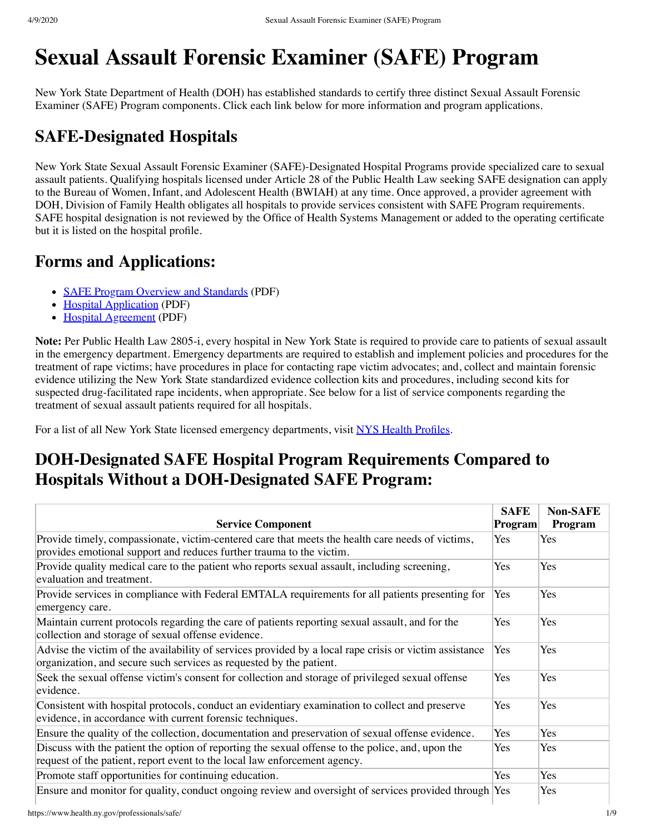# **Sexual Assault Forensic Examiner (SAFE) Program**

New York State Department of Health (DOH) has established standards to certify three distinct Sexual Assault Forensic Examiner (SAFE) Program components. Click each link below for more information and program applications.

### **SAFE-Designated Hospitals**

New York State Sexual Assault Forensic Examiner (SAFE)-Designated Hospital Programs provide specialized care to sexual assault patients. Qualifying hospitals licensed under Article 28 of the Public Health Law seeking SAFE designation can apply to the Bureau of Women, Infant, and Adolescent Health (BWIAH) at any time. Once approved, a provider agreement with DOH, Division of Family Health obligates all hospitals to provide services consistent with SAFE Program requirements. SAFE hospital designation is not reviewed by the Office of Health Systems Management or added to the operating certificate but it is listed on the hospital profile.

### **Forms and Applications:**

- [SAFE Program Overview and Standards](https://www.health.ny.gov/professionals/safe/docs/program_overview_and_standards.pdf) (PDF)
- [Hospital Application](https://www.health.ny.gov/professionals/safe/docs/hospital_application.pdf) (PDF)
- [Hospital Agreement](https://www.health.ny.gov/professionals/safe/docs/hospital_agreement.pdf) (PDF)

**Note:** Per Public Health Law 2805-i, every hospital in New York State is required to provide care to patients of sexual assault in the emergency department. Emergency departments are required to establish and implement policies and procedures for the treatment of rape victims; have procedures in place for contacting rape victim advocates; and, collect and maintain forensic evidence utilizing the New York State standardized evidence collection kits and procedures, including second kits for suspected drug-facilitated rape incidents, when appropriate. See below for a list of service components regarding the treatment of sexual assault patients required for all hospitals.

For a list of all New York State licensed emergency departments, visit [NYS Health Profiles](https://profiles.health.ny.gov/hospital/county_or_region/service:Emergency+Department).

## **DOH-Designated SAFE Hospital Program Requirements Compared to Hospitals Without a DOH-Designated SAFE Program:**

| <b>Service Component</b>                                                                                                                                                      | <b>SAFE</b><br><b>Program</b> | <b>Non-SAFE</b><br>Program |
|-------------------------------------------------------------------------------------------------------------------------------------------------------------------------------|-------------------------------|----------------------------|
| Provide timely, compassionate, victim-centered care that meets the health care needs of victims,<br>provides emotional support and reduces further trauma to the victim.      | <b>Yes</b>                    | Yes                        |
| Provide quality medical care to the patient who reports sexual assault, including screening,<br>evaluation and treatment.                                                     | Yes                           | Yes                        |
| Provide services in compliance with Federal EMTALA requirements for all patients presenting for<br>emergency care.                                                            | Yes                           | Yes                        |
| Maintain current protocols regarding the care of patients reporting sexual assault, and for the<br>collection and storage of sexual offense evidence.                         | Yes                           | Yes                        |
| Advise the victim of the availability of services provided by a local rape crisis or victim assistance<br>organization, and secure such services as requested by the patient. | Yes                           | Yes                        |
| Seek the sexual offense victim's consent for collection and storage of privileged sexual offense<br>evidence.                                                                 | Yes                           | Yes                        |
| Consistent with hospital protocols, conduct an evidentiary examination to collect and preserve<br>evidence, in accordance with current forensic techniques.                   | Yes                           | Yes                        |
| Ensure the quality of the collection, documentation and preservation of sexual offense evidence.                                                                              | Yes                           | Yes                        |
| Discuss with the patient the option of reporting the sexual offense to the police, and, upon the<br>request of the patient, report event to the local law enforcement agency. | Yes                           | Yes                        |
| Promote staff opportunities for continuing education.                                                                                                                         | Yes                           | Yes                        |
| Ensure and monitor for quality, conduct ongoing review and oversight of services provided through Yes                                                                         |                               | Yes                        |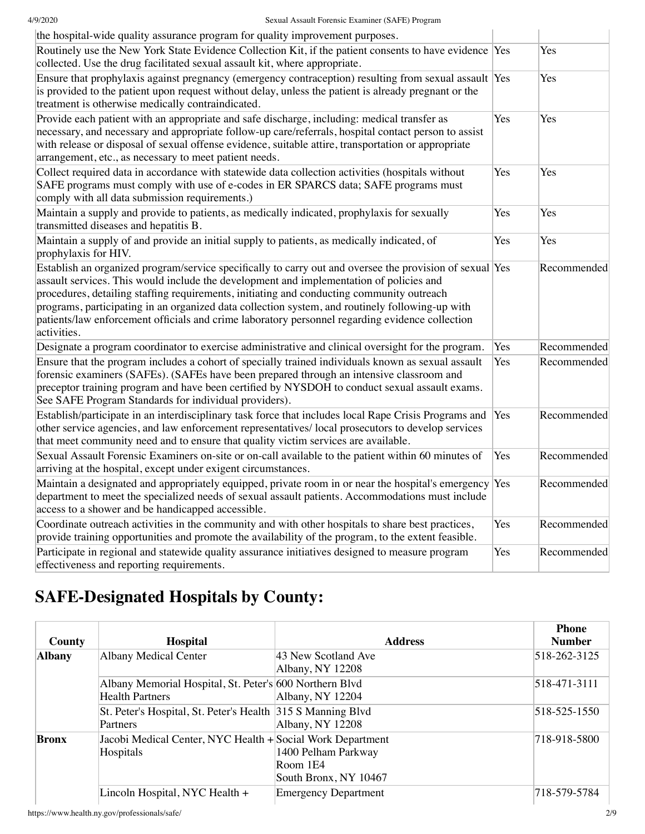| the hospital-wide quality assurance program for quality improvement purposes.                                                                                                                                                                                                                                                                                                                                                                                                                                         |     |             |
|-----------------------------------------------------------------------------------------------------------------------------------------------------------------------------------------------------------------------------------------------------------------------------------------------------------------------------------------------------------------------------------------------------------------------------------------------------------------------------------------------------------------------|-----|-------------|
| Routinely use the New York State Evidence Collection Kit, if the patient consents to have evidence Yes<br>collected. Use the drug facilitated sexual assault kit, where appropriate.                                                                                                                                                                                                                                                                                                                                  |     | Yes         |
| Ensure that prophylaxis against pregnancy (emergency contraception) resulting from sexual assault Yes<br>is provided to the patient upon request without delay, unless the patient is already pregnant or the<br>treatment is otherwise medically contraindicated.                                                                                                                                                                                                                                                    |     | Yes         |
| Provide each patient with an appropriate and safe discharge, including: medical transfer as<br>necessary, and necessary and appropriate follow-up care/referrals, hospital contact person to assist<br>with release or disposal of sexual offense evidence, suitable attire, transportation or appropriate<br>arrangement, etc., as necessary to meet patient needs.                                                                                                                                                  | Yes | Yes         |
| Collect required data in accordance with statewide data collection activities (hospitals without<br>SAFE programs must comply with use of e-codes in ER SPARCS data; SAFE programs must<br>comply with all data submission requirements.)                                                                                                                                                                                                                                                                             | Yes | Yes         |
| Maintain a supply and provide to patients, as medically indicated, prophylaxis for sexually<br>transmitted diseases and hepatitis B.                                                                                                                                                                                                                                                                                                                                                                                  | Yes | Yes         |
| Maintain a supply of and provide an initial supply to patients, as medically indicated, of<br>prophylaxis for HIV.                                                                                                                                                                                                                                                                                                                                                                                                    | Yes | Yes         |
| Establish an organized program/service specifically to carry out and oversee the provision of sexual Yes<br>assault services. This would include the development and implementation of policies and<br>procedures, detailing staffing requirements, initiating and conducting community outreach<br>programs, participating in an organized data collection system, and routinely following-up with<br>patients/law enforcement officials and crime laboratory personnel regarding evidence collection<br>activities. |     | Recommended |
| Designate a program coordinator to exercise administrative and clinical oversight for the program.                                                                                                                                                                                                                                                                                                                                                                                                                    | Yes | Recommended |
| Ensure that the program includes a cohort of specially trained individuals known as sexual assault<br>forensic examiners (SAFEs). (SAFEs have been prepared through an intensive classroom and<br>preceptor training program and have been certified by NYSDOH to conduct sexual assault exams.<br>See SAFE Program Standards for individual providers).                                                                                                                                                              | Yes | Recommended |
| Establish/participate in an interdisciplinary task force that includes local Rape Crisis Programs and<br>other service agencies, and law enforcement representatives/local prosecutors to develop services<br>that meet community need and to ensure that quality victim services are available.                                                                                                                                                                                                                      | Yes | Recommended |
| Sexual Assault Forensic Examiners on-site or on-call available to the patient within 60 minutes of<br>arriving at the hospital, except under exigent circumstances.                                                                                                                                                                                                                                                                                                                                                   | Yes | Recommended |
| Maintain a designated and appropriately equipped, private room in or near the hospital's emergency<br>department to meet the specialized needs of sexual assault patients. Accommodations must include<br>access to a shower and be handicapped accessible.                                                                                                                                                                                                                                                           | Yes | Recommended |
| Coordinate outreach activities in the community and with other hospitals to share best practices,<br>provide training opportunities and promote the availability of the program, to the extent feasible.                                                                                                                                                                                                                                                                                                              | Yes | Recommended |
| Participate in regional and statewide quality assurance initiatives designed to measure program<br>effectiveness and reporting requirements.                                                                                                                                                                                                                                                                                                                                                                          | Yes | Recommended |

# **SAFE-Designated Hospitals by County:**

| County        | <b>Hospital</b>                                                                   | <b>Address</b>                                           | <b>Phone</b><br><b>Number</b> |
|---------------|-----------------------------------------------------------------------------------|----------------------------------------------------------|-------------------------------|
| <b>Albany</b> | <b>Albany Medical Center</b>                                                      | 43 New Scotland Ave<br>Albany, NY 12208                  | 518-262-3125                  |
|               | Albany Memorial Hospital, St. Peter's 600 Northern Blvd<br><b>Health Partners</b> | Albany, NY 12204                                         | 518-471-3111                  |
|               | St. Peter's Hospital, St. Peter's Health 315 S Manning Blvd<br>Partners           | Albany, NY 12208                                         | 518-525-1550                  |
| <b>Bronx</b>  | Jacobi Medical Center, NYC Health + Social Work Department<br>Hospitals           | 1400 Pelham Parkway<br>Room 1E4<br>South Bronx, NY 10467 | 718-918-5800                  |
|               | Lincoln Hospital, NYC Health +                                                    | <b>Emergency Department</b>                              | 718-579-5784                  |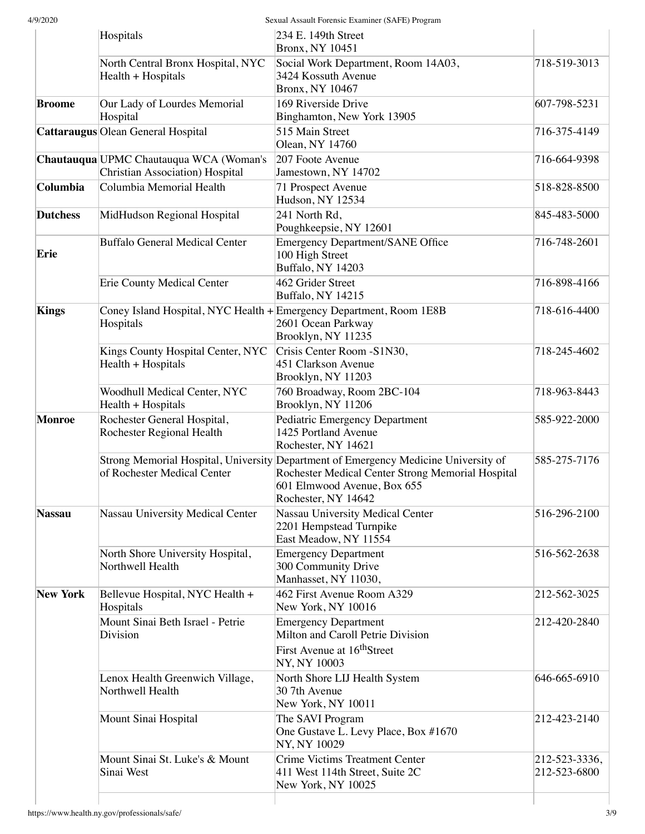|                 | Hospitals                                                                        | $234$ E. 149th Street<br><b>Bronx, NY 10451</b>                                                                                                                                                |                               |
|-----------------|----------------------------------------------------------------------------------|------------------------------------------------------------------------------------------------------------------------------------------------------------------------------------------------|-------------------------------|
|                 | North Central Bronx Hospital, NYC<br>Health + Hospitals                          | Social Work Department, Room 14A03,<br>3424 Kossuth Avenue<br><b>Bronx, NY 10467</b>                                                                                                           | 718-519-3013                  |
| <b>Broome</b>   | Our Lady of Lourdes Memorial<br>Hospital                                         | 169 Riverside Drive<br>Binghamton, New York 13905                                                                                                                                              | 607-798-5231                  |
|                 | Cattaraugus Olean General Hospital                                               | 515 Main Street<br>Olean, NY 14760                                                                                                                                                             | 716-375-4149                  |
|                 | Chautauqua UPMC Chautauqua WCA (Woman's<br>Christian Association) Hospital       | 207 Foote Avenue<br>Jamestown, NY 14702                                                                                                                                                        | 716-664-9398                  |
| Columbia        | Columbia Memorial Health                                                         | 71 Prospect Avenue<br>Hudson, NY 12534                                                                                                                                                         | 518-828-8500                  |
| <b>Dutchess</b> | MidHudson Regional Hospital                                                      | 241 North Rd,<br>Poughkeepsie, NY 12601                                                                                                                                                        | 845-483-5000                  |
| Erie            | <b>Buffalo General Medical Center</b>                                            | Emergency Department/SANE Office<br>100 High Street<br>Buffalo, NY 14203                                                                                                                       | 716-748-2601                  |
|                 | <b>Erie County Medical Center</b>                                                | 462 Grider Street<br>Buffalo, NY 14215                                                                                                                                                         | 716-898-4166                  |
| <b>Kings</b>    | Coney Island Hospital, NYC Health + Emergency Department, Room 1E8B<br>Hospitals | 2601 Ocean Parkway<br>Brooklyn, NY 11235                                                                                                                                                       | 718-616-4400                  |
|                 | Kings County Hospital Center, NYC<br>Health + Hospitals                          | Crisis Center Room -S1N30,<br>451 Clarkson Avenue<br>Brooklyn, NY 11203                                                                                                                        | 718-245-4602                  |
|                 | Woodhull Medical Center, NYC<br>Health + Hospitals                               | 760 Broadway, Room 2BC-104<br>Brooklyn, NY 11206                                                                                                                                               | 718-963-8443                  |
| <b>Monroe</b>   | Rochester General Hospital,<br>Rochester Regional Health                         | Pediatric Emergency Department<br>1425 Portland Avenue<br>Rochester, NY 14621                                                                                                                  | 585-922-2000                  |
|                 | of Rochester Medical Center                                                      | Strong Memorial Hospital, University Department of Emergency Medicine University of<br>Rochester Medical Center Strong Memorial Hospital<br>601 Elmwood Avenue, Box 655<br>Rochester, NY 14642 | 585-275-7176                  |
| <b>Nassau</b>   | Nassau University Medical Center                                                 | Nassau University Medical Center<br>2201 Hempstead Turnpike<br>East Meadow, NY 11554                                                                                                           | 516-296-2100                  |
|                 | North Shore University Hospital,<br>Northwell Health                             | <b>Emergency Department</b><br>300 Community Drive<br>Manhasset, NY 11030,                                                                                                                     | 516-562-2638                  |
| <b>New York</b> | Bellevue Hospital, NYC Health +<br>Hospitals                                     | 462 First Avenue Room A329<br>New York, NY 10016                                                                                                                                               | 212-562-3025                  |
|                 | Mount Sinai Beth Israel - Petrie<br>Division                                     | <b>Emergency Department</b><br>Milton and Caroll Petrie Division<br>First Avenue at 16 <sup>th</sup> Street<br>NY, NY 10003                                                                    | 212-420-2840                  |
|                 | Lenox Health Greenwich Village,<br>Northwell Health                              | North Shore LIJ Health System<br>30 7th Avenue<br>New York, NY 10011                                                                                                                           | 646-665-6910                  |
|                 | Mount Sinai Hospital                                                             | The SAVI Program<br>One Gustave L. Levy Place, Box #1670<br>NY, NY 10029                                                                                                                       | 212-423-2140                  |
|                 | Mount Sinai St. Luke's & Mount<br>Sinai West                                     | Crime Victims Treatment Center<br>411 West 114th Street, Suite 2C<br>New York, NY 10025                                                                                                        | 212-523-3336,<br>212-523-6800 |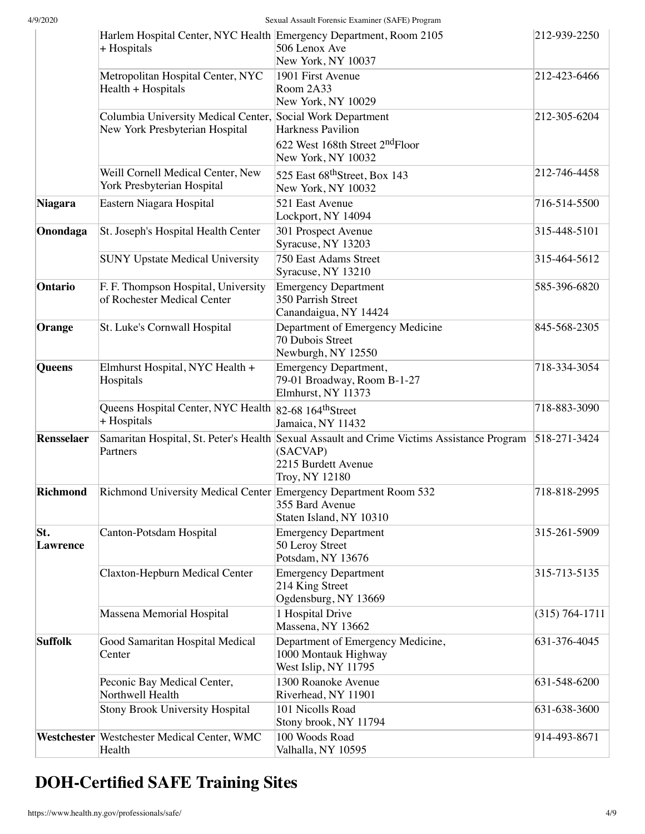| 4/9/2020               |                                                                                              | Sexual Assault Forensic Examiner (SAFE) Program                                                                                                 |                    |
|------------------------|----------------------------------------------------------------------------------------------|-------------------------------------------------------------------------------------------------------------------------------------------------|--------------------|
|                        | Harlem Hospital Center, NYC Health Emergency Department, Room 2105<br>+ Hospitals            | 506 Lenox Ave<br>New York, NY 10037                                                                                                             | 212-939-2250       |
|                        | Metropolitan Hospital Center, NYC<br>Health + Hospitals                                      | 1901 First Avenue<br>Room $2A33$<br>New York, NY 10029                                                                                          | 212-423-6466       |
|                        | Columbia University Medical Center, Social Work Department<br>New York Presbyterian Hospital | Harkness Pavilion<br>622 West 168th Street 2 <sup>nd</sup> Floor<br>New York, NY 10032                                                          | 212-305-6204       |
|                        | Weill Cornell Medical Center, New<br>York Presbyterian Hospital                              | 525 East 68 <sup>th</sup> Street, Box 143<br>New York, NY 10032                                                                                 | 212-746-4458       |
| <b>Niagara</b>         | Eastern Niagara Hospital                                                                     | 521 East Avenue<br>Lockport, NY 14094                                                                                                           | 716-514-5500       |
| Onondaga               | St. Joseph's Hospital Health Center                                                          | 301 Prospect Avenue<br>Syracuse, NY 13203                                                                                                       | 315-448-5101       |
|                        | <b>SUNY Upstate Medical University</b>                                                       | 750 East Adams Street<br>Syracuse, NY 13210                                                                                                     | 315-464-5612       |
| Ontario                | F. F. Thompson Hospital, University<br>of Rochester Medical Center                           | Emergency Department<br>350 Parrish Street<br>Canandaigua, NY 14424                                                                             | 585-396-6820       |
| Orange                 | St. Luke's Cornwall Hospital                                                                 | Department of Emergency Medicine<br>70 Dubois Street<br>Newburgh, NY 12550                                                                      | 845-568-2305       |
| Queens                 | Elmhurst Hospital, NYC Health +<br>Hospitals                                                 | Emergency Department,<br>79-01 Broadway, Room B-1-27<br>Elmhurst, NY 11373                                                                      | 718-334-3054       |
|                        | Queens Hospital Center, NYC Health 82-68 164 <sup>th</sup> Street<br>+ Hospitals             | Jamaica, NY 11432                                                                                                                               | 718-883-3090       |
| <b>Rensselaer</b>      | Partners                                                                                     | Samaritan Hospital, St. Peter's Health Sexual Assault and Crime Victims Assistance Program<br>(SACVAP)<br>2215 Burdett Avenue<br>Troy, NY 12180 | 518-271-3424       |
| <b>Richmond</b>        | Richmond University Medical Center Emergency Department Room 532                             | 355 Bard Avenue<br>Staten Island, NY 10310                                                                                                      | 718-818-2995       |
| St.<br><b>Lawrence</b> | Canton-Potsdam Hospital                                                                      | <b>Emergency Department</b><br>50 Leroy Street<br>Potsdam, NY 13676                                                                             | 315-261-5909       |
|                        | Claxton-Hepburn Medical Center                                                               | <b>Emergency Department</b><br>214 King Street<br>Ogdensburg, NY 13669                                                                          | 315-713-5135       |
|                        | Massena Memorial Hospital                                                                    | 1 Hospital Drive<br>Massena, NY 13662                                                                                                           | $(315) 764 - 1711$ |
| <b>Suffolk</b>         | Good Samaritan Hospital Medical<br>Center                                                    | Department of Emergency Medicine,<br>1000 Montauk Highway<br>West Islip, NY 11795                                                               | 631-376-4045       |
|                        | Peconic Bay Medical Center,<br>Northwell Health                                              | 1300 Roanoke Avenue<br>Riverhead, NY 11901                                                                                                      | 631-548-6200       |
|                        | <b>Stony Brook University Hospital</b>                                                       | 101 Nicolls Road<br>Stony brook, NY 11794                                                                                                       | 631-638-3600       |
|                        | Westchester   Westchester Medical Center, WMC<br>Health                                      | 100 Woods Road<br>Valhalla, NY 10595                                                                                                            | 914-493-8671       |

# **DOH-Certified SAFE Training Sites**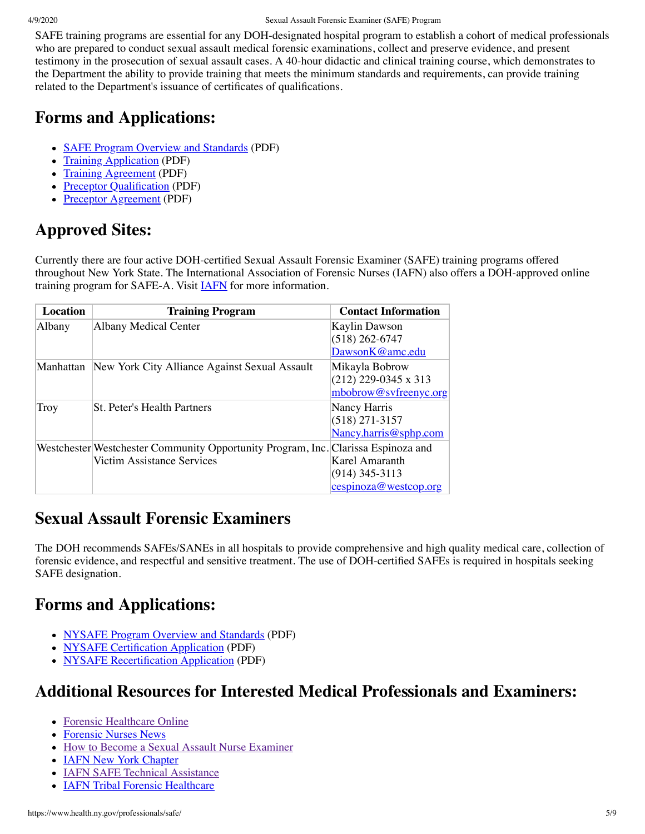#### 4/9/2020 Sexual Assault Forensic Examiner (SAFE) Program

SAFE training programs are essential for any DOH-designated hospital program to establish a cohort of medical professionals who are prepared to conduct sexual assault medical forensic examinations, collect and preserve evidence, and present testimony in the prosecution of sexual assault cases. A 40-hour didactic and clinical training course, which demonstrates to the Department the ability to provide training that meets the minimum standards and requirements, can provide training related to the Department's issuance of certificates of qualifications.

### **Forms and Applications:**

- [SAFE Program Overview and Standards](https://www.health.ny.gov/professionals/safe/docs/program_overview_and_standards.pdf) (PDF)
- [Training Application](https://www.health.ny.gov/professionals/safe/docs/training_application.pdf) (PDF)
- [Training Agreement](https://www.health.ny.gov/professionals/safe/docs/training_agreement.pdf) (PDF)
- [Preceptor Qualification](https://www.health.ny.gov/professionals/safe/docs/preceptor_qualifications.pdf) (PDF)
- [Preceptor Agreement](https://www.health.ny.gov/professionals/safe/docs/preceptor_agreement.pdf) (PDF)

## **Approved Sites:**

Currently there are four active DOH-certified Sexual Assault Forensic Examiner (SAFE) training programs offered throughout New York State. The International Association of Forensic Nurses (IAFN) also offers a DOH-approved online training program for SAFE-A. Visit **IAFN** for more information.

| <b>Location</b> | <b>Training Program</b>                                                           | <b>Contact Information</b> |
|-----------------|-----------------------------------------------------------------------------------|----------------------------|
| Albany          | <b>Albany Medical Center</b>                                                      | Kaylin Dawson              |
|                 |                                                                                   | $(518)$ 262-6747           |
|                 |                                                                                   | DawsonK@amc.edu            |
| Manhattan       | New York City Alliance Against Sexual Assault                                     | Mikayla Bobrow             |
|                 |                                                                                   | $(212)$ 229-0345 x 313     |
|                 |                                                                                   | mbobrow@svfreenyc.org      |
| Troy            | <b>St. Peter's Health Partners</b>                                                | Nancy Harris               |
|                 |                                                                                   | $(518)$ 271-3157           |
|                 |                                                                                   | Nancy.harris@sphp.com      |
|                 | Westchester Westchester Community Opportunity Program, Inc. Clarissa Espinoza and |                            |
|                 | Victim Assistance Services                                                        | Karel Amaranth             |
|                 |                                                                                   | $(914)$ 345-3113           |
|                 |                                                                                   | cespinoza@westcop.org      |

### **Sexual Assault Forensic Examiners**

The DOH recommends SAFEs/SANEs in all hospitals to provide comprehensive and high quality medical care, collection of forensic evidence, and respectful and sensitive treatment. The use of DOH-certified SAFEs is required in hospitals seeking SAFE designation.

### **Forms and Applications:**

- [NYSAFE Program Overview and Standards](https://www.health.ny.gov/professionals/safe/docs/program_overview_and_standards.pdf) (PDF)
- [NYSAFE Certification Application](https://www.health.ny.gov/professionals/safe/docs/nysafe_certification_application.pdf) (PDF)
- [NYSAFE Recertification Application](https://www.health.ny.gov/professionals/safe/docs/nysafe_recertification_application.pdf) (PDF)

### **Additional Resources for Interested Medical Professionals and Examiners:**

- [Forensic Healthcare Online](https://www.forensichealth.com/about/)
- [Forensic Nurses News](http://www.multibriefs.com/briefs/IAFN/)
- [How to Become a Sexual Assault Nurse Examiner](https://c.ymcdn.com/sites/iafn.site-ym.com/resource/resmgr/education/How_to_become_a_SANE.pdf)
- [IAFN New York Chapter](http://community.iafn.org/newyorkstate/home)
- **[IAFN SAFE Technical Assistance](http://www.safeta.org/general/custom.asp?page=85)**
- **[IAFN Tribal Forensic Healthcare](http://www.tribalforensichealthcare.org/default.asp?)**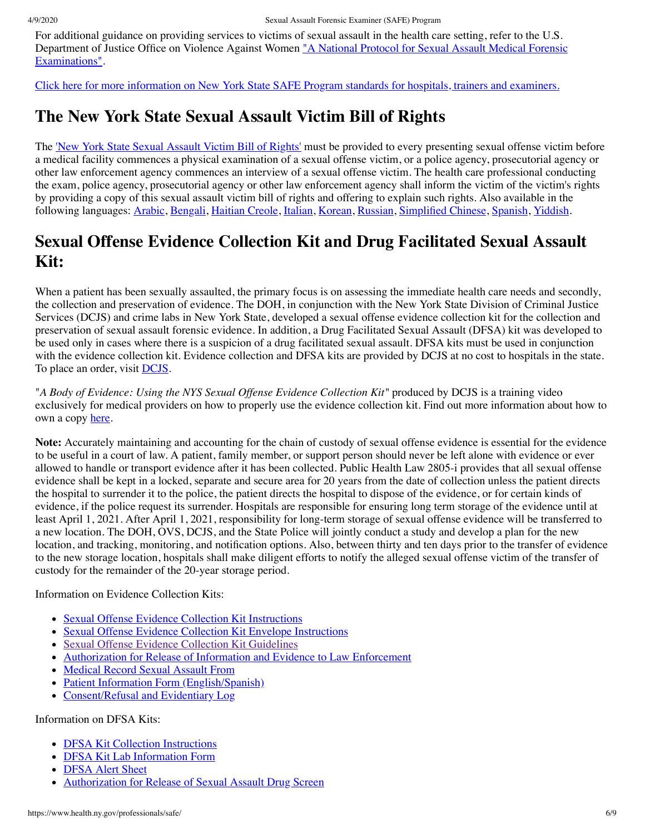For additional guidance on providing services to victims of sexual assault in the health care setting, refer to the U.S. [Department of Justice Office on Violence Against Women "A National Protocol for Sexual Assault Medical Forensic](https://www.ncjrs.gov/pdffiles1/ovw/241903.pdf) Examinations".

[Click here for more information on New York State SAFE Program standards for hospitals, trainers and examiners.](https://www.health.ny.gov/professionals/safe/docs/program_overview_and_standards.pdf)

### **The New York State Sexual Assault Victim Bill of Rights**

The ['New York State Sexual Assault Victim Bill of Rights'](https://www.health.ny.gov/publications/1934.pdf) must be provided to every presenting sexual offense victim before a medical facility commences a physical examination of a sexual offense victim, or a police agency, prosecutorial agency or other law enforcement agency commences an interview of a sexual offense victim. The health care professional conducting the exam, police agency, prosecutorial agency or other law enforcement agency shall inform the victim of the victim's rights by providing a copy of this sexual assault victim bill of rights and offering to explain such rights. Also available in the following languages: [Arabic](https://www.health.ny.gov/publications/1941.pdf), [Bengali](https://www.health.ny.gov/publications/1932.pdf), [Haitian Creole](https://www.health.ny.gov/publications/1935.pdf), [Italian](https://www.health.ny.gov/publications/1936.pdf), [Korean](https://www.health.ny.gov/publications/1937.pdf), [Russian,](https://www.health.ny.gov/publications/1938.pdf) [Simplified Chinese,](https://www.health.ny.gov/publications/1933.pdf) [Spanish](https://www.health.ny.gov/publications/1939.pdf), [Yiddish](https://www.health.ny.gov/publications/1940.pdf).

### **Sexual Offense Evidence Collection Kit and Drug Facilitated Sexual Assault Kit:**

When a patient has been sexually assaulted, the primary focus is on assessing the immediate health care needs and secondly, the collection and preservation of evidence. The DOH, in conjunction with the New York State Division of Criminal Justice Services (DCJS) and crime labs in New York State, developed a sexual offense evidence collection kit for the collection and preservation of sexual assault forensic evidence. In addition, a Drug Facilitated Sexual Assault (DFSA) kit was developed to be used only in cases where there is a suspicion of a drug facilitated sexual assault. DFSA kits must be used in conjunction with the evidence collection kit. Evidence collection and DFSA kits are provided by DCJS at no cost to hospitals in the state. To place an order, visit [DCJS.](http://www.criminaljustice.ny.gov/ofpa/evidencekit.htm)

"*A Body of Evidence: Using the NYS Sexual Offense Evidence Collection Kit"* produced by DCJS is a training video exclusively for medical providers on how to properly use the evidence collection kit. Find out more information about how to own a copy [here](http://www.criminaljustice.ny.gov/ofpa/evidencekit.htm).

**Note:** Accurately maintaining and accounting for the chain of custody of sexual offense evidence is essential for the evidence to be useful in a court of law. A patient, family member, or support person should never be left alone with evidence or ever allowed to handle or transport evidence after it has been collected. Public Health Law 2805-i provides that all sexual offense evidence shall be kept in a locked, separate and secure area for 20 years from the date of collection unless the patient directs the hospital to surrender it to the police, the patient directs the hospital to dispose of the evidence, or for certain kinds of evidence, if the police request its surrender. Hospitals are responsible for ensuring long term storage of the evidence until at least April 1, 2021. After April 1, 2021, responsibility for long-term storage of sexual offense evidence will be transferred to a new location. The DOH, OVS, DCJS, and the State Police will jointly conduct a study and develop a plan for the new location, and tracking, monitoring, and notification options. Also, between thirty and ten days prior to the transfer of evidence to the new storage location, hospitals shall make diligent efforts to notify the alleged sexual offense victim of the transfer of custody for the remainder of the 20-year storage period.

Information on Evidence Collection Kits:

- [Sexual Offense Evidence Collection Kit Instructions](https://www.health.ny.gov/professionals/safe/docs/evidence_collection_kit_instructions.pdf)
- [Sexual Offense Evidence Collection Kit Envelope Instructions](https://www.health.ny.gov/professionals/safe/docs/evidence_collection_kit_envelope_instructions.pdf)
- [Sexual Offense Evidence Collection Kit Guidelines](https://www.health.ny.gov/professionals/safe/docs/evidence_collection_kit_guidelines.pdf)
- [Authorization for Release of Information and Evidence to Law Enforcement](https://www.health.ny.gov/professionals/safe/docs/law_enforcement_release.pdf)
- [Medical Record Sexual Assault From](https://www.health.ny.gov/professionals/safe/docs/medical_record_sexual_assault_form.pdf)
- [Patient Information Form \(English/Spanish\)](https://www.health.ny.gov/professionals/safe/docs/patient_information_form.pdf)
- [Consent/Refusal and Evidentiary Log](https://www.health.ny.gov/professionals/safe/docs/consent-refusal_and_evidentiary_log.pdf)

#### Information on DFSA Kits:

- **[DFSA Kit Collection Instructions](https://www.health.ny.gov/professionals/safe/docs/dfsa_kit_collection_instructions.pdf)**
- [DFSA Kit Lab Information Form](https://www.health.ny.gov/professionals/safe/docs/dfsa_kit_lab_information_form.pdf)
- [DFSA Alert Sheet](https://www.health.ny.gov/professionals/safe/docs/dfsa_alert_sheet.pdf)
- [Authorization for Release of Sexual Assault Drug Screen](https://www.health.ny.gov/professionals/safe/docs/drug_screening_release.pdf)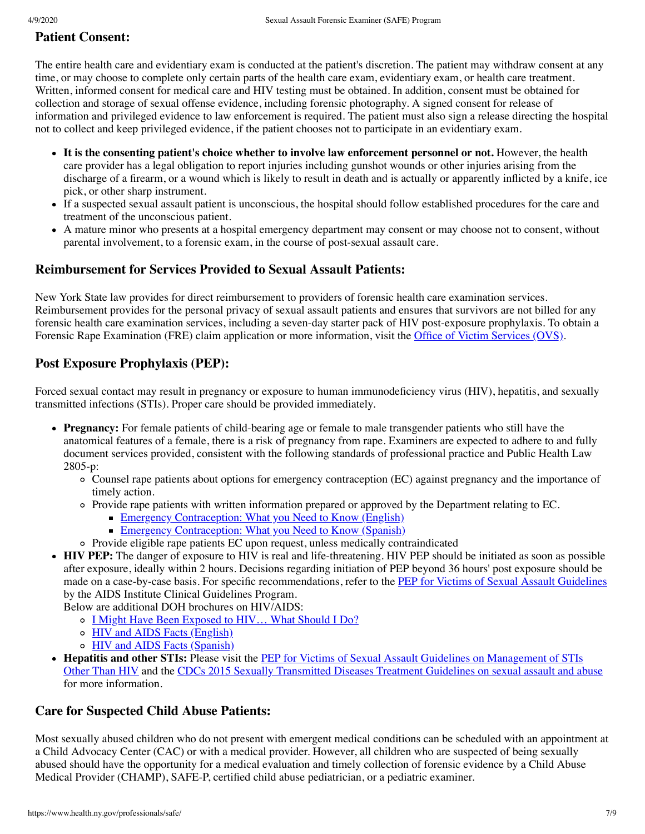### **Patient Consent:**

The entire health care and evidentiary exam is conducted at the patient's discretion. The patient may withdraw consent at any time, or may choose to complete only certain parts of the health care exam, evidentiary exam, or health care treatment. Written, informed consent for medical care and HIV testing must be obtained. In addition, consent must be obtained for collection and storage of sexual offense evidence, including forensic photography. A signed consent for release of information and privileged evidence to law enforcement is required. The patient must also sign a release directing the hospital not to collect and keep privileged evidence, if the patient chooses not to participate in an evidentiary exam.

- **It is the consenting patient's choice whether to involve law enforcement personnel or not.** However, the health care provider has a legal obligation to report injuries including gunshot wounds or other injuries arising from the discharge of a firearm, or a wound which is likely to result in death and is actually or apparently inflicted by a knife, ice pick, or other sharp instrument.
- If a suspected sexual assault patient is unconscious, the hospital should follow established procedures for the care and treatment of the unconscious patient.
- A mature minor who presents at a hospital emergency department may consent or may choose not to consent, without parental involvement, to a forensic exam, in the course of post-sexual assault care.

### **Reimbursement for Services Provided to Sexual Assault Patients:**

New York State law provides for direct reimbursement to providers of forensic health care examination services. Reimbursement provides for the personal privacy of sexual assault patients and ensures that survivors are not billed for any forensic health care examination services, including a seven-day starter pack of HIV post-exposure prophylaxis. To obtain a Forensic Rape Examination (FRE) claim application or more information, visit the [Office of Victim Services \(OVS\).](https://ovs.ny.gov/forensic-rape-examination-fre-direct-reimbursement-program)

### **Post Exposure Prophylaxis (PEP):**

Forced sexual contact may result in pregnancy or exposure to human immunodeficiency virus (HIV), hepatitis, and sexually transmitted infections (STIs). Proper care should be provided immediately.

- **Pregnancy:** For female patients of child-bearing age or female to male transgender patients who still have the anatomical features of a female, there is a risk of pregnancy from rape. Examiners are expected to adhere to and fully document services provided, consistent with the following standards of professional practice and Public Health Law 2805-p:
	- Counsel rape patients about options for emergency contraception (EC) against pregnancy and the importance of timely action.
	- Provide rape patients with written information prepared or approved by the Department relating to EC.
		- **[Emergency Contraception: What you Need to Know \(English\)](https://www.health.ny.gov/publications/2018.pdf)**
		- **[Emergency Contraception: What you Need to Know \(Spanish\)](https://www.health.ny.gov/publications/2018_es.pdf)**
	- Provide eligible rape patients EC upon request, unless medically contraindicated
- **HIV PEP:** The danger of exposure to HIV is real and life-threatening. HIV PEP should be initiated as soon as possible after exposure, ideally within 2 hours. Decisions regarding initiation of PEP beyond 36 hours' post exposure should be made on a case-by-case basis. For specific recommendations, refer to the [PEP for Victims of Sexual Assault Guidelines](http://www.hivguidelines.org/pep-for-hiv-prevention/after-sexual-assault/#tab_0) by the AIDS Institute Clinical Guidelines Program.

Below are additional DOH brochures on HIV/AIDS:

- o I Might Have Been Exposed to HIV... What Should I Do?
- [HIV and AIDS Facts \(English\)](https://www.health.ny.gov/publications/9242.pdf)
- o [HIV and AIDS Facts \(Spanish\)](https://www.health.ny.gov/publications/9243.pdf)
- **Hepatitis and other STIs:** Please visit the PEP for Victims of Sexual Assault Guidelines on Management of STIs [Other Than HIV and the CDCs 2015 Sexually Transmitted Diseases Treatment Guidelines on sexual assault and a](http://www.hivguidelines.org/pep-for-hiv-prevention/after-sexual-assault/#tab_4)[buse](https://www.cdc.gov/std/tg2015/sexual-assault.htm) for more information.

### **Care for Suspected Child Abuse Patients:**

Most sexually abused children who do not present with emergent medical conditions can be scheduled with an appointment at a Child Advocacy Center (CAC) or with a medical provider. However, all children who are suspected of being sexually abused should have the opportunity for a medical evaluation and timely collection of forensic evidence by a Child Abuse Medical Provider (CHAMP), SAFE-P, certified child abuse pediatrician, or a pediatric examiner.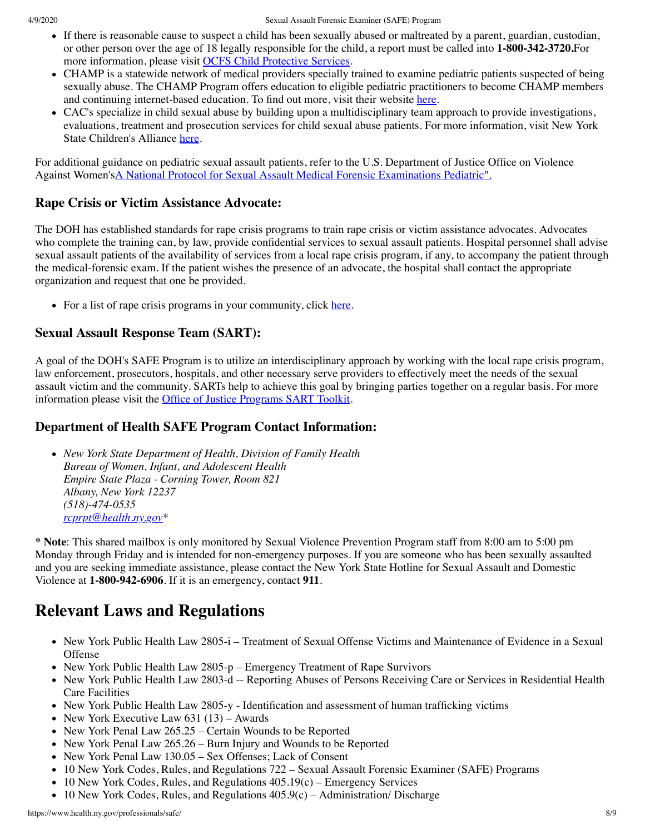- If there is reasonable cause to suspect a child has been sexually abused or maltreated by a parent, guardian, custodian, or other person over the age of 18 legally responsible for the child, a report must be called into **1-800-342-3720.**For more information, please visit [OCFS Child Protective Services](http://ocfs.ny.gov/main/cps/).
- CHAMP is a statewide network of medical providers specially trained to examine pediatric patients suspected of being sexually abuse. The CHAMP Program offers education to eligible pediatric practitioners to become CHAMP members and continuing internet-based education. To find out more, visit their website [here.](http://www.champprogram.com/about.shtml)
- CAC's specialize in child sexual abuse by building upon a multidisciplinary team approach to provide investigations, evaluations, treatment and prosecution services for child sexual abuse patients. For more information, visit New York State Children's Alliance [here](https://www.nyschildrensalliance.org/cacs/).

For additional guidance on pediatric sexual assault patients, refer to the U.S. Department of Justice Office on Violence Against Women'[sA National Protocol for Sexual Assault Medical Forensic Examinations Pediatric".](http://www.justice.gov/ovw/file/846856/download)

#### **Rape Crisis or Victim Assistance Advocate:**

The DOH has established standards for rape crisis programs to train rape crisis or victim assistance advocates. Advocates who complete the training can, by law, provide confidential services to sexual assault patients. Hospital personnel shall advise sexual assault patients of the availability of services from a local rape crisis program, if any, to accompany the patient through the medical-forensic exam. If the patient wishes the presence of an advocate, the hospital shall contact the appropriate organization and request that one be provided.

• For a list of rape crisis programs in your community, click [here](https://www.health.ny.gov/prevention/sexual_violence/rscvpp_providers.htm).

#### **Sexual Assault Response Team (SART):**

A goal of the DOH's SAFE Program is to utilize an interdisciplinary approach by working with the local rape crisis program, law enforcement, prosecutors, hospitals, and other necessary serve providers to effectively meet the needs of the sexual assault victim and the community. SARTs help to achieve this goal by bringing parties together on a regular basis. For more information please visit the [Office of Justice Programs SART Toolkit](https://ovc.ncjrs.gov/sartkit/about/about-sart.html?_sm_au_=isVt2w1zJFsT2tr7).

#### **Department of Health SAFE Program Contact Information:**

*New York State Department of Health, Division of Family Health Bureau of Women, Infant, and Adolescent Health Empire State Plaza - Corning Tower, Room 821 Albany, New York 12237 (518)-474-0535 [rcprpt@health.ny.gov](mailto:rcprpt@health.ny.gov)\**

**\* Note**: This shared mailbox is only monitored by Sexual Violence Prevention Program staff from 8:00 am to 5:00 pm Monday through Friday and is intended for non-emergency purposes. If you are someone who has been sexually assaulted and you are seeking immediate assistance, please contact the New York State Hotline for Sexual Assault and Domestic Violence at **1-800-942-6906**. If it is an emergency, contact **911**.

### **Relevant Laws and Regulations**

- New York Public Health Law 2805-i Treatment of Sexual Offense Victims and Maintenance of Evidence in a Sexual Offense
- New York Public Health Law 2805-p Emergency Treatment of Rape Survivors
- New York Public Health Law 2803-d -- Reporting Abuses of Persons Receiving Care or Services in Residential Health Care Facilities
- New York Public Health Law 2805-y Identification and assessment of human trafficking victims
- New York Executive Law  $631$  (13) Awards
- New York Penal Law 265.25 Certain Wounds to be Reported
- New York Penal Law 265.26 Burn Injury and Wounds to be Reported
- New York Penal Law 130.05 Sex Offenses; Lack of Consent
- 10 New York Codes, Rules, and Regulations 722 Sexual Assault Forensic Examiner (SAFE) Programs
- 10 New York Codes, Rules, and Regulations 405.19(c) Emergency Services
- $\bullet$  10 New York Codes, Rules, and Regulations 405.9(c) Administration/ Discharge